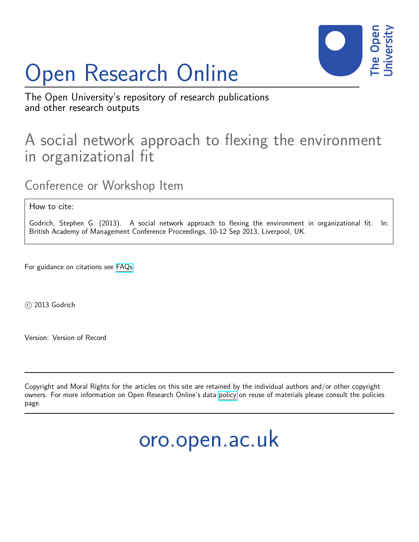# Open Research Online



The Open University's repository of research publications and other research outputs

# A social network approach to flexing the environment in organizational fit

Conference or Workshop Item

How to cite:

Godrich, Stephen G. (2013). A social network approach to flexing the environment in organizational fit. In: British Academy of Management Conference Proceedings, 10-12 Sep 2013, Liverpool, UK.

For guidance on citations see [FAQs.](http://oro.open.ac.uk/help/helpfaq.html)

c 2013 Godrich

Version: Version of Record

Copyright and Moral Rights for the articles on this site are retained by the individual authors and/or other copyright owners. For more information on Open Research Online's data [policy](http://oro.open.ac.uk/policies.html) on reuse of materials please consult the policies page.

oro.open.ac.uk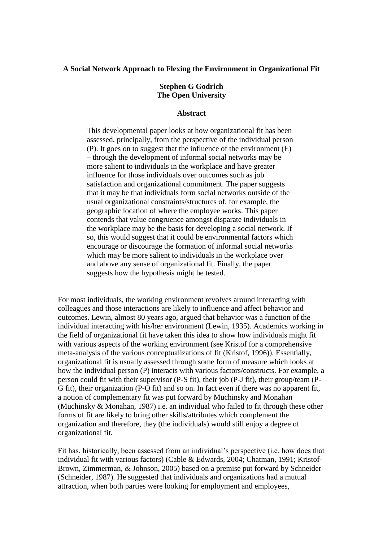## **A Social Network Approach to Flexing the Environment in Organizational Fit**

# **Stephen G Godrich The Open University**

## **Abstract**

This developmental paper looks at how organizational fit has been assessed, principally, from the perspective of the individual person (P). It goes on to suggest that the influence of the environment (E) – through the development of informal social networks may be more salient to individuals in the workplace and have greater influence for those individuals over outcomes such as job satisfaction and organizational commitment. The paper suggests that it may be that individuals form social networks outside of the usual organizational constraints/structures of, for example, the geographic location of where the employee works. This paper contends that value congruence amongst disparate individuals in the workplace may be the basis for developing a social network. If so, this would suggest that it could be environmental factors which encourage or discourage the formation of informal social networks which may be more salient to individuals in the workplace over and above any sense of organizational fit. Finally, the paper suggests how the hypothesis might be tested.

For most individuals, the working environment revolves around interacting with colleagues and those interactions are likely to influence and affect behavior and outcomes. Lewin, almost 80 years ago, argued that behavior was a function of the individual interacting with his/her environment (Lewin, 1935). Academics working in the field of organizational fit have taken this idea to show how individuals might fit with various aspects of the working environment (see Kristof for a comprehensive meta-analysis of the various conceptualizations of fit (Kristof, 1996)). Essentially, organizational fit is usually assessed through some form of measure which looks at how the individual person (P) interacts with various factors/constructs. For example, a person could fit with their supervisor (P-S fit), their job (P-J fit), their group/team (P-G fit), their organization (P-O fit) and so on. In fact even if there was no apparent fit, a notion of complementary fit was put forward by Muchinsky and Monahan (Muchinsky & Monahan, 1987) i.e. an individual who failed to fit through these other forms of fit are likely to bring other skills/attributes which complement the organization and therefore, they (the individuals) would still enjoy a degree of organizational fit.

Fit has, historically, been assessed from an individual's perspective (i.e. how does that individual fit with various factors) (Cable & Edwards, 2004; Chatman, 1991; Kristof-Brown, Zimmerman, & Johnson, 2005) based on a premise put forward by Schneider (Schneider, 1987). He suggested that individuals and organizations had a mutual attraction, when both parties were looking for employment and employees,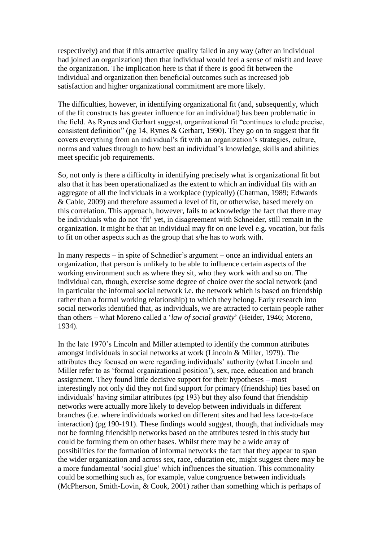respectively) and that if this attractive quality failed in any way (after an individual had joined an organization) then that individual would feel a sense of misfit and leave the organization. The implication here is that if there is good fit between the individual and organization then beneficial outcomes such as increased job satisfaction and higher organizational commitment are more likely.

The difficulties, however, in identifying organizational fit (and, subsequently, which of the fit constructs has greater influence for an individual) has been problematic in the field. As Rynes and Gerhart suggest, organizational fit "continues to elude precise, consistent definition" (pg 14, Rynes & Gerhart, 1990). They go on to suggest that fit covers everything from an individual's fit with an organization's strategies, culture, norms and values through to how best an individual's knowledge, skills and abilities meet specific job requirements.

So, not only is there a difficulty in identifying precisely what is organizational fit but also that it has been operationalized as the extent to which an individual fits with an aggregate of all the individuals in a workplace (typically) (Chatman, 1989; Edwards & Cable, 2009) and therefore assumed a level of fit, or otherwise, based merely on this correlation. This approach, however, fails to acknowledge the fact that there may be individuals who do not 'fit' yet, in disagreement with Schneider, still remain in the organization. It might be that an individual may fit on one level e.g. vocation, but fails to fit on other aspects such as the group that s/he has to work with.

In many respects – in spite of Schnedier's argument – once an individual enters an organization, that person is unlikely to be able to influence certain aspects of the working environment such as where they sit, who they work with and so on. The individual can, though, exercise some degree of choice over the social network (and in particular the informal social network i.e. the network which is based on friendship rather than a formal working relationship) to which they belong. Early research into social networks identified that, as individuals, we are attracted to certain people rather than others – what Moreno called a '*law of social gravity*' (Heider, 1946; Moreno, 1934).

In the late 1970's Lincoln and Miller attempted to identify the common attributes amongst individuals in social networks at work (Lincoln & Miller, 1979). The attributes they focused on were regarding individuals' authority (what Lincoln and Miller refer to as 'formal organizational position'), sex, race, education and branch assignment. They found little decisive support for their hypotheses – most interestingly not only did they not find support for primary (friendship) ties based on individuals' having similar attributes (pg 193) but they also found that friendship networks were actually more likely to develop between individuals in different branches (i.e. where individuals worked on different sites and had less face-to-face interaction) (pg 190-191). These findings would suggest, though, that individuals may not be forming friendship networks based on the attributes tested in this study but could be forming them on other bases. Whilst there may be a wide array of possibilities for the formation of informal networks the fact that they appear to span the wider organization and across sex, race, education etc, might suggest there may be a more fundamental 'social glue' which influences the situation. This commonality could be something such as, for example, value congruence between individuals (McPherson, Smith-Lovin, & Cook, 2001) rather than something which is perhaps of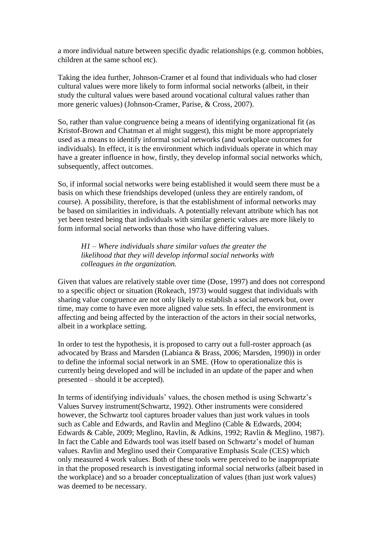a more individual nature between specific dyadic relationships (e.g. common hobbies, children at the same school etc).

Taking the idea further, Johnson-Cramer et al found that individuals who had closer cultural values were more likely to form informal social networks (albeit, in their study the cultural values were based around vocational cultural values rather than more generic values) (Johnson-Cramer, Parise, & Cross, 2007).

So, rather than value congruence being a means of identifying organizational fit (as Kristof-Brown and Chatman et al might suggest), this might be more appropriately used as a means to identify informal social networks (and workplace outcomes for individuals). In effect, it is the environment which individuals operate in which may have a greater influence in how, firstly, they develop informal social networks which, subsequently, affect outcomes.

So, if informal social networks were being established it would seem there must be a basis on which these friendships developed (unless they are entirely random, of course). A possibility, therefore, is that the establishment of informal networks may be based on similarities in individuals. A potentially relevant attribute which has not yet been tested being that individuals with similar generic values are more likely to form informal social networks than those who have differing values.

*H1 – Where individuals share similar values the greater the likelihood that they will develop informal social networks with colleagues in the organization.* 

Given that values are relatively stable over time (Dose, 1997) and does not correspond to a specific object or situation (Rokeach, 1973) would suggest that individuals with sharing value congruence are not only likely to establish a social network but, over time, may come to have even more aligned value sets. In effect, the environment is affecting and being affected by the interaction of the actors in their social networks, albeit in a workplace setting.

In order to test the hypothesis, it is proposed to carry out a full-roster approach (as advocated by Brass and Marsden (Labianca & Brass, 2006; Marsden, 1990)) in order to define the informal social network in an SME. (How to operationalize this is currently being developed and will be included in an update of the paper and when presented – should it be accepted).

In terms of identifying individuals' values, the chosen method is using Schwartz's Values Survey instrument(Schwartz, 1992). Other instruments were considered however, the Schwartz tool captures broader values than just work values in tools such as Cable and Edwards, and Ravlin and Meglino (Cable & Edwards, 2004; Edwards & Cable, 2009; Meglino, Ravlin, & Adkins, 1992; Ravlin & Meglino, 1987). In fact the Cable and Edwards tool was itself based on Schwartz's model of human values. Ravlin and Meglino used their Comparative Emphasis Scale (CES) which only measured 4 work values. Both of these tools were perceived to be inappropriate in that the proposed research is investigating informal social networks (albeit based in the workplace) and so a broader conceptualization of values (than just work values) was deemed to be necessary.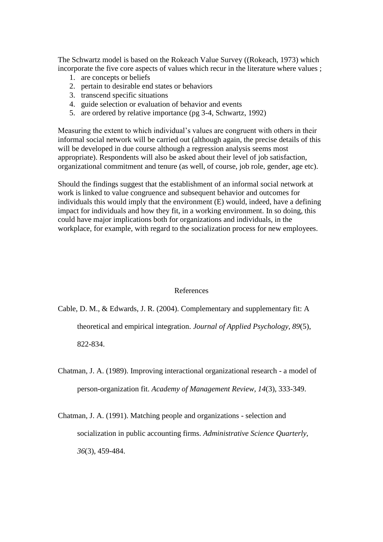The Schwartz model is based on the Rokeach Value Survey ((Rokeach, 1973) which incorporate the five core aspects of values which recur in the literature where values ;

- 1. are concepts or beliefs
- 2. pertain to desirable end states or behaviors
- 3. transcend specific situations
- 4. guide selection or evaluation of behavior and events
- 5. are ordered by relative importance (pg 3-4, Schwartz, 1992)

Measuring the extent to which individual's values are congruent with others in their informal social network will be carried out (although again, the precise details of this will be developed in due course although a regression analysis seems most appropriate). Respondents will also be asked about their level of job satisfaction, organizational commitment and tenure (as well, of course, job role, gender, age etc).

Should the findings suggest that the establishment of an informal social network at work is linked to value congruence and subsequent behavior and outcomes for individuals this would imply that the environment (E) would, indeed, have a defining impact for individuals and how they fit, in a working environment. In so doing, this could have major implications both for organizations and individuals, in the workplace, for example, with regard to the socialization process for new employees.

### References

Cable, D. M., & Edwards, J. R. (2004). Complementary and supplementary fit: A

theoretical and empirical integration. *Journal of Applied Psychology, 89*(5),

822-834.

- Chatman, J. A. (1989). Improving interactional organizational research a model of person-organization fit. *Academy of Management Review, 14*(3), 333-349.
- Chatman, J. A. (1991). Matching people and organizations selection and socialization in public accounting firms. *Administrative Science Quarterly, 36*(3), 459-484.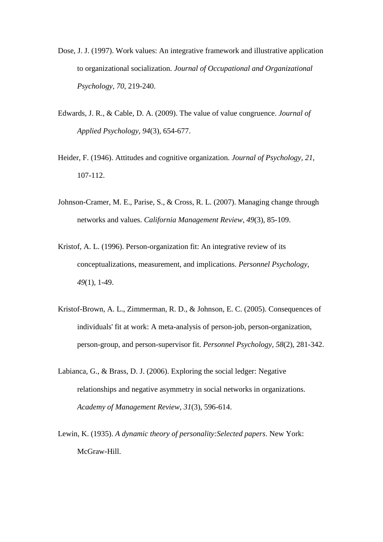- Dose, J. J. (1997). Work values: An integrative framework and illustrative application to organizational socialization. *Journal of Occupational and Organizational Psychology, 70*, 219-240.
- Edwards, J. R., & Cable, D. A. (2009). The value of value congruence. *Journal of Applied Psychology, 94*(3), 654-677.
- Heider, F. (1946). Attitudes and cognitive organization. *Journal of Psychology, 21*, 107-112.
- Johnson-Cramer, M. E., Parise, S., & Cross, R. L. (2007). Managing change through networks and values. *California Management Review, 49*(3), 85-109.
- Kristof, A. L. (1996). Person-organization fit: An integrative review of its conceptualizations, measurement, and implications. *Personnel Psychology, 49*(1), 1-49.
- Kristof-Brown, A. L., Zimmerman, R. D., & Johnson, E. C. (2005). Consequences of individuals' fit at work: A meta-analysis of person-job, person-organization, person-group, and person-supervisor fit. *Personnel Psychology, 58*(2), 281-342.
- Labianca, G., & Brass, D. J. (2006). Exploring the social ledger: Negative relationships and negative asymmetry in social networks in organizations. *Academy of Management Review, 31*(3), 596-614.
- Lewin, K. (1935). *A dynamic theory of personality:Selected papers*. New York: McGraw-Hill.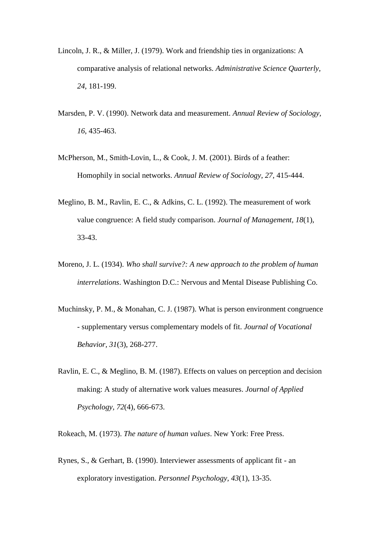- Lincoln, J. R., & Miller, J. (1979). Work and friendship ties in organizations: A comparative analysis of relational networks. *Administrative Science Quarterly, 24*, 181-199.
- Marsden, P. V. (1990). Network data and measurement. *Annual Review of Sociology, 16*, 435-463.
- McPherson, M., Smith-Lovin, L., & Cook, J. M. (2001). Birds of a feather: Homophily in social networks. *Annual Review of Sociology, 27*, 415-444.
- Meglino, B. M., Ravlin, E. C., & Adkins, C. L. (1992). The measurement of work value congruence: A field study comparison. *Journal of Management, 18*(1), 33-43.
- Moreno, J. L. (1934). *Who shall survive?: A new approach to the problem of human interrelations*. Washington D.C.: Nervous and Mental Disease Publishing Co.
- Muchinsky, P. M., & Monahan, C. J. (1987). What is person environment congruence - supplementary versus complementary models of fit. *Journal of Vocational Behavior, 31*(3), 268-277.
- Ravlin, E. C., & Meglino, B. M. (1987). Effects on values on perception and decision making: A study of alternative work values measures. *Journal of Applied Psychology, 72*(4), 666-673.

Rokeach, M. (1973). *The nature of human values*. New York: Free Press.

Rynes, S., & Gerhart, B. (1990). Interviewer assessments of applicant fit - an exploratory investigation. *Personnel Psychology, 43*(1), 13-35.